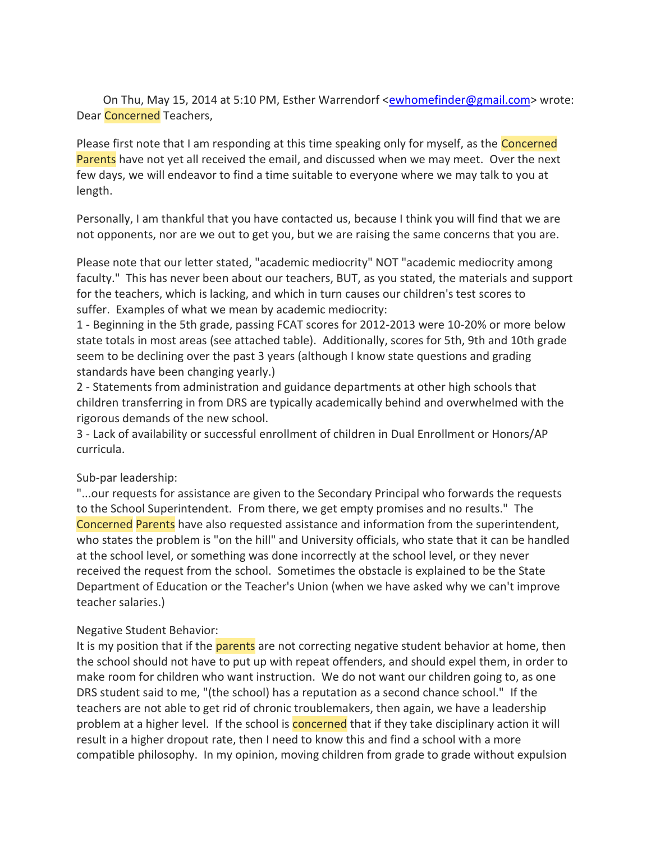On Thu, May 15, 2014 at 5:10 PM, Esther Warrendorf [<ewhomefinder@gmail.com>](mailto:ewhomefinder@gmail.com) wrote: Dear Concerned Teachers,

Please first note that I am responding at this time speaking only for myself, as the Concerned Parents have not yet all received the email, and discussed when we may meet. Over the next few days, we will endeavor to find a time suitable to everyone where we may talk to you at length.

Personally, I am thankful that you have contacted us, because I think you will find that we are not opponents, nor are we out to get you, but we are raising the same concerns that you are.

Please note that our letter stated, "academic mediocrity" NOT "academic mediocrity among faculty." This has never been about our teachers, BUT, as you stated, the materials and support for the teachers, which is lacking, and which in turn causes our children's test scores to suffer. Examples of what we mean by academic mediocrity:

1 - Beginning in the 5th grade, passing FCAT scores for 2012-2013 were 10-20% or more below state totals in most areas (see attached table). Additionally, scores for 5th, 9th and 10th grade seem to be declining over the past 3 years (although I know state questions and grading standards have been changing yearly.)

2 - Statements from administration and guidance departments at other high schools that children transferring in from DRS are typically academically behind and overwhelmed with the rigorous demands of the new school.

3 - Lack of availability or successful enrollment of children in Dual Enrollment or Honors/AP curricula.

## Sub-par leadership:

"...our requests for assistance are given to the Secondary Principal who forwards the requests to the School Superintendent. From there, we get empty promises and no results." The Concerned Parents have also requested assistance and information from the superintendent, who states the problem is "on the hill" and University officials, who state that it can be handled at the school level, or something was done incorrectly at the school level, or they never received the request from the school. Sometimes the obstacle is explained to be the State Department of Education or the Teacher's Union (when we have asked why we can't improve teacher salaries.)

## Negative Student Behavior:

It is my position that if the parents are not correcting negative student behavior at home, then the school should not have to put up with repeat offenders, and should expel them, in order to make room for children who want instruction. We do not want our children going to, as one DRS student said to me, "(the school) has a reputation as a second chance school." If the teachers are not able to get rid of chronic troublemakers, then again, we have a leadership problem at a higher level. If the school is **concerned** that if they take disciplinary action it will result in a higher dropout rate, then I need to know this and find a school with a more compatible philosophy. In my opinion, moving children from grade to grade without expulsion